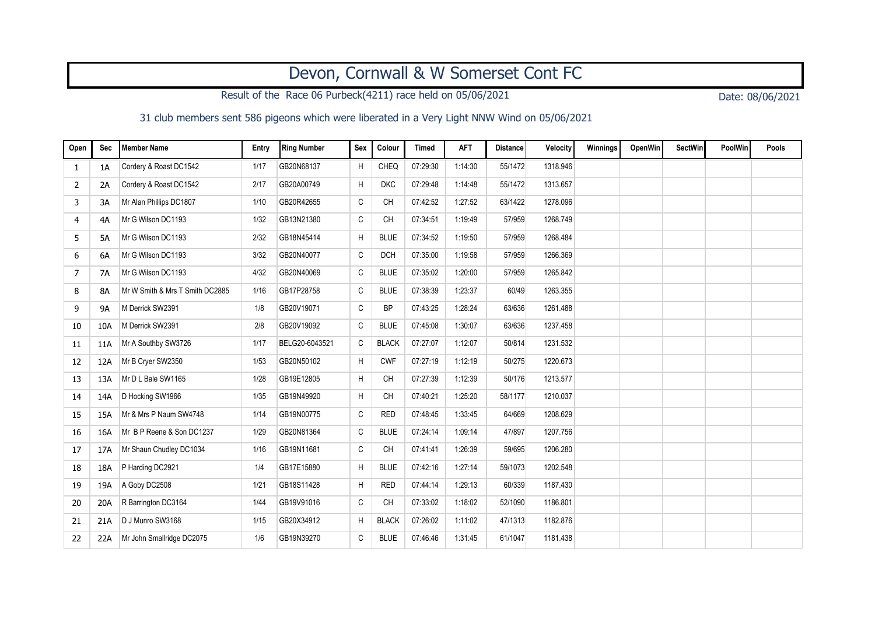## Devon, Cornwall & W Somerset Cont FC

Result of the Race 06 Purbeck(4211) race held on 05/06/2021 Date: 08/06/2021

31 club members sent 586 pigeons which were liberated in a Very Light NNW Wind on 05/06/2021

| Open | Sec       | <b>Member Name</b>              | Entry | <b>Ring Number</b> | Sex          | Colour       | <b>Timed</b> | <b>AFT</b> | Distance | Velocity | Winnings | <b>OpenWin</b> | <b>SectWin</b> | PoolWin | Pools |
|------|-----------|---------------------------------|-------|--------------------|--------------|--------------|--------------|------------|----------|----------|----------|----------------|----------------|---------|-------|
| 1    | 1A        | Cordery & Roast DC1542          | 1/17  | GB20N68137         | H            | CHEQ         | 07:29:30     | 1:14:30    | 55/1472  | 1318.946 |          |                |                |         |       |
| 2    | 2A        | Cordery & Roast DC1542          | 2/17  | GB20A00749         | H            | <b>DKC</b>   | 07:29:48     | 1:14:48    | 55/1472  | 1313.657 |          |                |                |         |       |
| 3    | 3A        | Mr Alan Phillips DC1807         | 1/10  | GB20R42655         | C            | <b>CH</b>    | 07:42:52     | 1:27:52    | 63/1422  | 1278.096 |          |                |                |         |       |
| 4    | 4A        | Mr G Wilson DC1193              | 1/32  | GB13N21380         | $\mathtt{C}$ | <b>CH</b>    | 07:34:51     | 1:19:49    | 57/959   | 1268.749 |          |                |                |         |       |
| 5    | 5A        | Mr G Wilson DC1193              | 2/32  | GB18N45414         | H            | <b>BLUE</b>  | 07:34:52     | 1:19:50    | 57/959   | 1268.484 |          |                |                |         |       |
| 6    | 6A        | Mr G Wilson DC1193              | 3/32  | GB20N40077         | C            | <b>DCH</b>   | 07:35:00     | 1:19:58    | 57/959   | 1266.369 |          |                |                |         |       |
| 7    | 7A        | Mr G Wilson DC1193              | 4/32  | GB20N40069         | $\mathsf C$  | <b>BLUE</b>  | 07:35:02     | 1:20:00    | 57/959   | 1265.842 |          |                |                |         |       |
| 8    | <b>8A</b> | Mr W Smith & Mrs T Smith DC2885 | 1/16  | GB17P28758         | C            | <b>BLUE</b>  | 07:38:39     | 1:23:37    | 60/49    | 1263.355 |          |                |                |         |       |
| 9    | 9A        | M Derrick SW2391                | 1/8   | GB20V19071         | C            | <b>BP</b>    | 07:43:25     | 1:28:24    | 63/636   | 1261.488 |          |                |                |         |       |
| 10   | 10A       | M Derrick SW2391                | 2/8   | GB20V19092         | C            | <b>BLUE</b>  | 07:45:08     | 1:30:07    | 63/636   | 1237.458 |          |                |                |         |       |
| 11   | 11A       | Mr A Southby SW3726             | 1/17  | BELG20-6043521     | C            | <b>BLACK</b> | 07:27:07     | 1:12:07    | 50/814   | 1231.532 |          |                |                |         |       |
| 12   | 12A       | Mr B Cryer SW2350               | 1/53  | GB20N50102         | H            | <b>CWF</b>   | 07:27:19     | 1:12:19    | 50/275   | 1220.673 |          |                |                |         |       |
| 13   | 13A       | Mr D L Bale SW1165              | 1/28  | GB19E12805         | H            | <b>CH</b>    | 07:27:39     | 1:12:39    | 50/176   | 1213.577 |          |                |                |         |       |
| 14   | 14A       | D Hocking SW1966                | 1/35  | GB19N49920         | H            | <b>CH</b>    | 07:40:21     | 1:25:20    | 58/1177  | 1210.037 |          |                |                |         |       |
| 15   | 15A       | Mr & Mrs P Naum SW4748          | 1/14  | GB19N00775         | С            | <b>RED</b>   | 07:48:45     | 1:33:45    | 64/669   | 1208.629 |          |                |                |         |       |
| 16   | 16A       | Mr B P Reene & Son DC1237       | 1/29  | GB20N81364         | C            | <b>BLUE</b>  | 07:24:14     | 1:09:14    | 47/897   | 1207.756 |          |                |                |         |       |
| 17   | 17A       | Mr Shaun Chudley DC1034         | 1/16  | GB19N11681         | C            | <b>CH</b>    | 07:41:41     | 1:26:39    | 59/695   | 1206.280 |          |                |                |         |       |
| 18   | 18A       | P Harding DC2921                | 1/4   | GB17E15880         | H            | <b>BLUE</b>  | 07:42:16     | 1:27:14    | 59/1073  | 1202.548 |          |                |                |         |       |
| 19   | 19A       | A Goby DC2508                   | 1/21  | GB18S11428         | H            | <b>RED</b>   | 07:44:14     | 1:29:13    | 60/339   | 1187.430 |          |                |                |         |       |
| 20   | 20A       | R Barrington DC3164             | 1/44  | GB19V91016         | C            | <b>CH</b>    | 07:33:02     | 1:18:02    | 52/1090  | 1186.801 |          |                |                |         |       |
| 21   | 21A       | D J Munro SW3168                | 1/15  | GB20X34912         | H            | <b>BLACK</b> | 07:26:02     | 1:11:02    | 47/1313  | 1182.876 |          |                |                |         |       |
| 22   | 22A       | Mr John Smallridge DC2075       | 1/6   | GB19N39270         | C            | <b>BLUE</b>  | 07:46:46     | 1:31:45    | 61/1047  | 1181.438 |          |                |                |         |       |